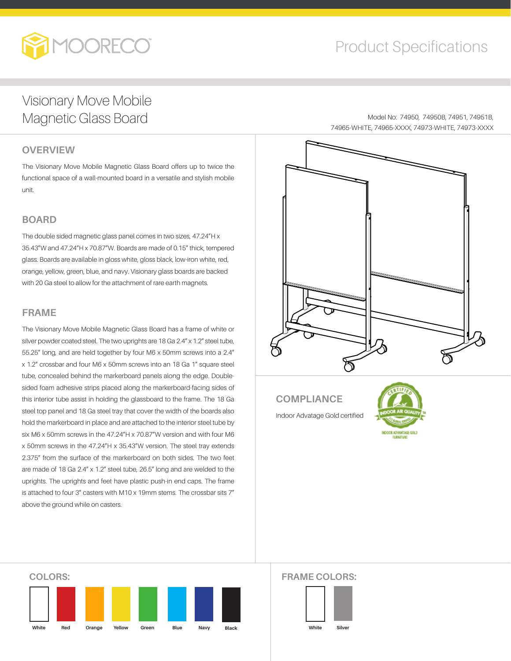

## Product Specifications

74965-WHITE, 74965-XXXX, 74973-WHITE, 74973-XXXX

Model No: 74950, 74950B, 74951, 74951B,

### Visionary Move Mobile Magnetic Glass Board

#### **OVERVIEW**

The Visionary Move Mobile Magnetic Glass Board offers up to twice the functional space of a wall-mounted board in a versatile and stylish mobile unit.

#### **BOARD**

The double sided magnetic glass panel comes in two sizes, 47.24"H x 35.43"W and 47.24"H x 70.87"W. Boards are made of 0.15" thick, tempered glass. Boards are available in gloss white, gloss black, low-iron white, red, orange, yellow, green, blue, and navy. Visionary glass boards are backed with 20 Ga steel to allow for the attachment of rare earth magnets.

#### **FRAME**

The Visionary Move Mobile Magnetic Glass Board has a frame of white or silver powder coated steel. The two uprights are 18 Ga 2.4" x 1.2" steel tube, 55.25" long, and are held together by four M6 x 50mm screws into a 2.4" x 1.2" crossbar and four M6 x 50mm screws into an 18 Ga 1" square steel tube, concealed behind the markerboard panels along the edge. Doublesided foam adhesive strips placed along the markerboard-facing sides of this interior tube assist in holding the glassboard to the frame. The 18 Ga steel top panel and 18 Ga steel tray that cover the width of the boards also hold the markerboard in place and are attached to the interior steel tube by six M6 x 50mm screws in the 47.24"H x 70.87"W version and with four M6 x 50mm screws in the 47.24"H x 35.43"W version. The steel tray extends 2.375" from the surface of the markerboard on both sides. The two feet are made of 18 Ga 2.4" x 1.2" steel tube, 26.5" long and are welded to the uprights. The uprights and feet have plastic push-in end caps. The frame is attached to four 3" casters with M10 x 19mm stems. The crossbar sits 7" above the ground while on casters.

#### **COMPLIANCE**

Indoor Advatage Gold certified



# **COLORS: White Red Orange Yellow Green Blue Navy**

#### **FRAME COLORS:**